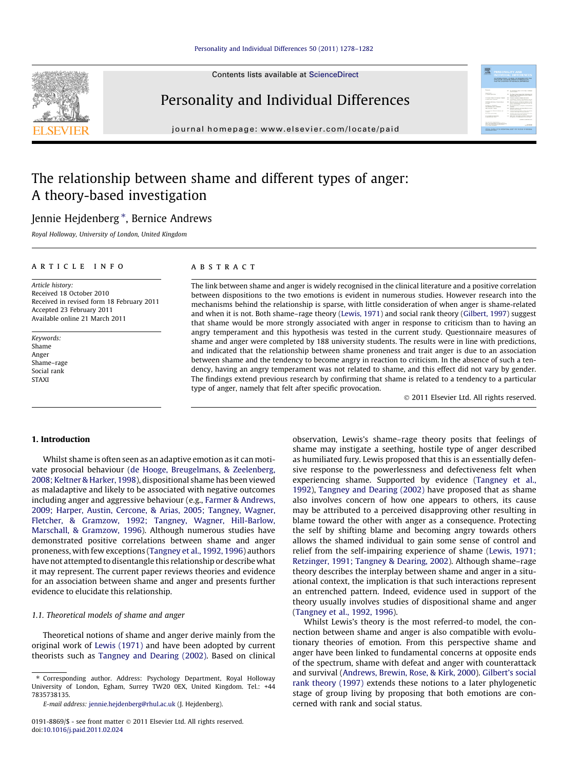# [Personality and Individual Differences 50 \(2011\) 1278–1282](http://dx.doi.org/10.1016/j.paid.2011.02.024)

Contents lists available at [ScienceDirect](http://www.sciencedirect.com/science/journal/01918869)





journal homepage: [www.elsevier.com/locate/paid](http://www.elsevier.com/locate/paid)

# 需

# The relationship between shame and different types of anger: A theory-based investigation

# Jennie Hejdenberg \*, Bernice Andrews

Royal Holloway, University of London, United Kingdom

# article info

Article history: Received 18 October 2010 Received in revised form 18 February 2011 Accepted 23 February 2011 Available online 21 March 2011

Keywords: Shame Anger Shame–rage Social rank STAXI

# ABSTRACT

The link between shame and anger is widely recognised in the clinical literature and a positive correlation between dispositions to the two emotions is evident in numerous studies. However research into the mechanisms behind the relationship is sparse, with little consideration of when anger is shame-related and when it is not. Both shame–rage theory ([Lewis, 1971](#page-4-0)) and social rank theory ([Gilbert, 1997](#page-4-0)) suggest that shame would be more strongly associated with anger in response to criticism than to having an angry temperament and this hypothesis was tested in the current study. Questionnaire measures of shame and anger were completed by 188 university students. The results were in line with predictions, and indicated that the relationship between shame proneness and trait anger is due to an association between shame and the tendency to become angry in reaction to criticism. In the absence of such a tendency, having an angry temperament was not related to shame, and this effect did not vary by gender. The findings extend previous research by confirming that shame is related to a tendency to a particular type of anger, namely that felt after specific provocation.

- 2011 Elsevier Ltd. All rights reserved.

# 1. Introduction

Whilst shame is often seen as an adaptive emotion as it can motivate prosocial behaviour ([de Hooge, Breugelmans, & Zeelenberg,](#page-4-0) [2008; Keltner & Harker, 1998](#page-4-0)), dispositional shame has been viewed as maladaptive and likely to be associated with negative outcomes including anger and aggressive behaviour (e.g., [Farmer & Andrews,](#page-4-0) [2009; Harper, Austin, Cercone, & Arias, 2005; Tangney, Wagner,](#page-4-0) [Fletcher, & Gramzow, 1992; Tangney, Wagner, Hill-Barlow,](#page-4-0) [Marschall, & Gramzow, 1996](#page-4-0)). Although numerous studies have demonstrated positive correlations between shame and anger proneness, with few exceptions [\(Tangney et al., 1992, 1996](#page-4-0)) authors have not attempted to disentangle this relationship or describe what it may represent. The current paper reviews theories and evidence for an association between shame and anger and presents further evidence to elucidate this relationship.

#### 1.1. Theoretical models of shame and anger

Theoretical notions of shame and anger derive mainly from the original work of [Lewis \(1971\)](#page-4-0) and have been adopted by current theorists such as [Tangney and Dearing \(2002\).](#page-4-0) Based on clinical

⇑ Corresponding author. Address: Psychology Department, Royal Holloway University of London, Egham, Surrey TW20 0EX, United Kingdom. Tel.: +44 7835738135.

observation, Lewis's shame–rage theory posits that feelings of shame may instigate a seething, hostile type of anger described as humiliated fury. Lewis proposed that this is an essentially defensive response to the powerlessness and defectiveness felt when experiencing shame. Supported by evidence [\(Tangney et al.,](#page-4-0) [1992\)](#page-4-0), [Tangney and Dearing \(2002\)](#page-4-0) have proposed that as shame also involves concern of how one appears to others, its cause may be attributed to a perceived disapproving other resulting in blame toward the other with anger as a consequence. Protecting the self by shifting blame and becoming angry towards others allows the shamed individual to gain some sense of control and relief from the self-impairing experience of shame [\(Lewis, 1971;](#page-4-0) [Retzinger, 1991; Tangney & Dearing, 2002](#page-4-0)). Although shame–rage theory describes the interplay between shame and anger in a situational context, the implication is that such interactions represent an entrenched pattern. Indeed, evidence used in support of the theory usually involves studies of dispositional shame and anger ([Tangney et al., 1992, 1996](#page-4-0)).

Whilst Lewis's theory is the most referred-to model, the connection between shame and anger is also compatible with evolutionary theories of emotion. From this perspective shame and anger have been linked to fundamental concerns at opposite ends of the spectrum, shame with defeat and anger with counterattack and survival [\(Andrews, Brewin, Rose, & Kirk, 2000](#page-4-0)). [Gilbert's social](#page-4-0) [rank theory \(1997\)](#page-4-0) extends these notions to a later phylogenetic stage of group living by proposing that both emotions are concerned with rank and social status.

E-mail address: [jennie.hejdenberg@rhul.ac.uk](mailto:jennie.hejdenberg@rhul.ac.uk) (J. Hejdenberg).

<sup>0191-8869/\$ -</sup> see front matter © 2011 Elsevier Ltd. All rights reserved. doi:[10.1016/j.paid.2011.02.024](http://dx.doi.org/10.1016/j.paid.2011.02.024)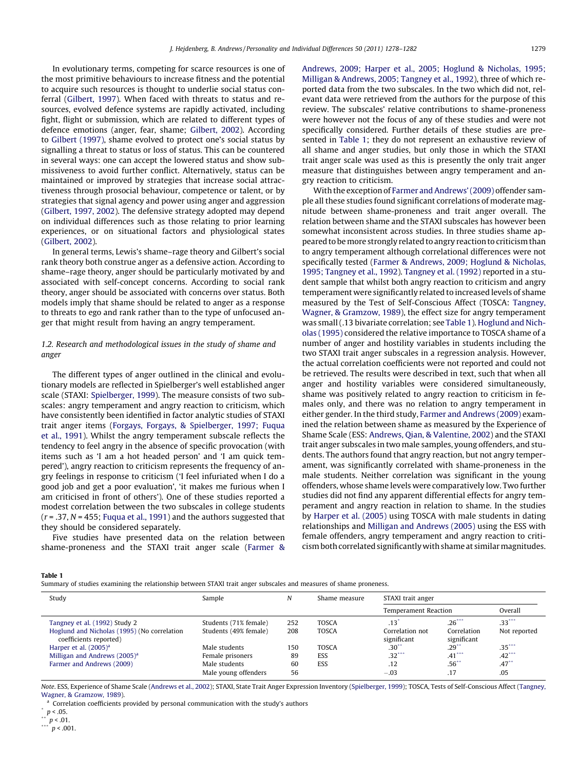<span id="page-1-0"></span>In evolutionary terms, competing for scarce resources is one of the most primitive behaviours to increase fitness and the potential to acquire such resources is thought to underlie social status conferral [\(Gilbert, 1997\)](#page-4-0). When faced with threats to status and resources, evolved defence systems are rapidly activated, including fight, flight or submission, which are related to different types of defence emotions (anger, fear, shame; [Gilbert, 2002](#page-4-0)). According to [Gilbert \(1997\)](#page-4-0), shame evolved to protect one's social status by signalling a threat to status or loss of status. This can be countered in several ways: one can accept the lowered status and show submissiveness to avoid further conflict. Alternatively, status can be maintained or improved by strategies that increase social attractiveness through prosocial behaviour, competence or talent, or by strategies that signal agency and power using anger and aggression ([Gilbert, 1997, 2002](#page-4-0)). The defensive strategy adopted may depend on individual differences such as those relating to prior learning experiences, or on situational factors and physiological states ([Gilbert, 2002](#page-4-0)).

In general terms, Lewis's shame–rage theory and Gilbert's social rank theory both construe anger as a defensive action. According to shame–rage theory, anger should be particularly motivated by and associated with self-concept concerns. According to social rank theory, anger should be associated with concerns over status. Both models imply that shame should be related to anger as a response to threats to ego and rank rather than to the type of unfocused anger that might result from having an angry temperament.

# 1.2. Research and methodological issues in the study of shame and anger

The different types of anger outlined in the clinical and evolutionary models are reflected in Spielberger's well established anger scale (STAXI: [Spielberger, 1999\)](#page-4-0). The measure consists of two subscales: angry temperament and angry reaction to criticism, which have consistently been identified in factor analytic studies of STAXI trait anger items [\(Forgays, Forgays, & Spielberger, 1997; Fuqua](#page-4-0) [et al., 1991\)](#page-4-0). Whilst the angry temperament subscale reflects the tendency to feel angry in the absence of specific provocation (with items such as 'I am a hot headed person' and 'I am quick tempered'), angry reaction to criticism represents the frequency of angry feelings in response to criticism ('I feel infuriated when I do a good job and get a poor evaluation', 'it makes me furious when I am criticised in front of others'). One of these studies reported a modest correlation between the two subscales in college students  $(r = .37, N = 455$ ; Fugua et al., 1991) and the authors suggested that they should be considered separately.

Five studies have presented data on the relation between shame-proneness and the STAXI trait anger scale [\(Farmer &](#page-4-0) [Andrews, 2009; Harper et al., 2005; Hoglund & Nicholas, 1995;](#page-4-0) [Milligan & Andrews, 2005; Tangney et al., 1992](#page-4-0)), three of which reported data from the two subscales. In the two which did not, relevant data were retrieved from the authors for the purpose of this review. The subscales' relative contributions to shame-proneness were however not the focus of any of these studies and were not specifically considered. Further details of these studies are presented in Table 1; they do not represent an exhaustive review of all shame and anger studies, but only those in which the STAXI trait anger scale was used as this is presently the only trait anger measure that distinguishes between angry temperament and angry reaction to criticism.

With the exception of [Farmer and Andrews' \(2009\)](#page-4-0) offender sample all these studies found significant correlations of moderate magnitude between shame-proneness and trait anger overall. The relation between shame and the STAXI subscales has however been somewhat inconsistent across studies. In three studies shame appeared to bemore strongly related to angry reaction to criticism than to angry temperament although correlational differences were not specifically tested ([Farmer & Andrews, 2009; Hoglund & Nicholas,](#page-4-0) [1995; Tangney et al., 1992](#page-4-0)). [Tangney et al. \(1992\)](#page-4-0) reported in a student sample that whilst both angry reaction to criticism and angry temperament were significantly related to increased levels of shame measured by the Test of Self-Conscious Affect (TOSCA: [Tangney,](#page-4-0) [Wagner, & Gramzow, 1989](#page-4-0)), the effect size for angry temperament was small (.13 bivariate correlation; see Table 1). [Hoglund and Nich](#page-4-0)[olas \(1995\)](#page-4-0) considered the relative importance to TOSCA shame of a number of anger and hostility variables in students including the two STAXI trait anger subscales in a regression analysis. However, the actual correlation coefficients were not reported and could not be retrieved. The results were described in text, such that when all anger and hostility variables were considered simultaneously, shame was positively related to angry reaction to criticism in females only, and there was no relation to angry temperament in either gender. In the third study, [Farmer and Andrews \(2009\)](#page-4-0) examined the relation between shame as measured by the Experience of Shame Scale (ESS: [Andrews, Qian, & Valentine, 2002](#page-4-0)) and the STAXI trait anger subscales in two male samples, young offenders, and students. The authors found that angry reaction, but not angry temperament, was significantly correlated with shame-proneness in the male students. Neither correlation was significant in the young offenders, whose shame levels were comparatively low. Two further studies did not find any apparent differential effects for angry temperament and angry reaction in relation to shame. In the studies by [Harper et al. \(2005\)](#page-4-0) using TOSCA with male students in dating relationships and [Milligan and Andrews \(2005\)](#page-4-0) using the ESS with female offenders, angry temperament and angry reaction to criticism both correlated significantlywith shame at similarmagnitudes.

#### Table 1

Summary of studies examining the relationship between STAXI trait anger subscales and measures of shame proneness.

| Study                                                                 | Sample                | N   | Shame measure | STAXI trait anger              |                            |              |
|-----------------------------------------------------------------------|-----------------------|-----|---------------|--------------------------------|----------------------------|--------------|
|                                                                       |                       |     |               | Temperament Reaction           |                            | Overall      |
| Tangney et al. (1992) Study 2                                         | Students (71% female) | 252 | <b>TOSCA</b>  | $.13*$                         | $.26***$                   | $.33***$     |
| Hoglund and Nicholas (1995) (No correlation<br>coefficients reported) | Students (49% female) | 208 | <b>TOSCA</b>  | Correlation not<br>significant | Correlation<br>significant | Not reported |
| Harper et al. $(2005)^{a}$                                            | Male students         | 150 | <b>TOSCA</b>  | .30 <sup>2</sup>               | $.29$ <sup>**</sup>        | $.35***$     |
| Milligan and Andrews $(2005)^{a}$                                     | Female prisoners      | 89  | <b>ESS</b>    | $32***$                        | $.41***$                   | $.42***$     |
| Farmer and Andrews (2009)                                             | Male students         | 60  | ESS           | .12                            | $.56**$                    | .47          |
|                                                                       | Male young offenders  | 56  |               | $-.03$                         | .17                        | .05          |

Note. ESS, Experience of Shame Scale ([Andrews et al., 2002](#page-4-0)); STAXI, State Trait Anger Expression Inventory ([Spielberger, 1999\)](#page-4-0); TOSCA, Tests of Self-Conscious Affect ([Tangney,](#page-4-0) [Wagner, & Gramzow, 1989\)](#page-4-0).

<sup>a</sup> Correlation coefficients provided by personal communication with the study's authors

 $p < .05$ .

 $p < .01$ .

 $p < .001$ .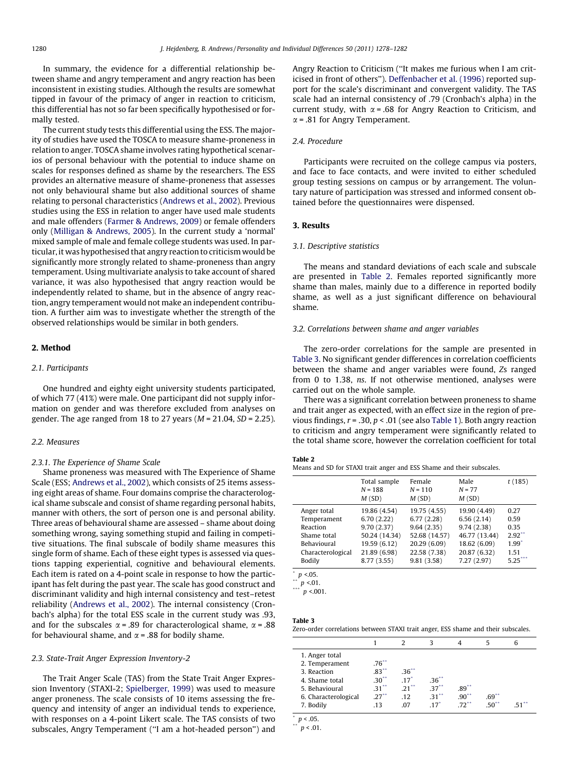In summary, the evidence for a differential relationship between shame and angry temperament and angry reaction has been inconsistent in existing studies. Although the results are somewhat tipped in favour of the primacy of anger in reaction to criticism, this differential has not so far been specifically hypothesised or formally tested.

The current study tests this differential using the ESS. The majority of studies have used the TOSCA to measure shame-proneness in relation to anger. TOSCA shame involves rating hypothetical scenarios of personal behaviour with the potential to induce shame on scales for responses defined as shame by the researchers. The ESS provides an alternative measure of shame-proneness that assesses not only behavioural shame but also additional sources of shame relating to personal characteristics ([Andrews et al., 2002](#page-4-0)). Previous studies using the ESS in relation to anger have used male students and male offenders ([Farmer & Andrews, 2009\)](#page-4-0) or female offenders only [\(Milligan & Andrews, 2005\)](#page-4-0). In the current study a 'normal' mixed sample of male and female college students was used. In particular, it was hypothesised that angry reaction to criticism would be significantly more strongly related to shame-proneness than angry temperament. Using multivariate analysis to take account of shared variance, it was also hypothesised that angry reaction would be independently related to shame, but in the absence of angry reaction, angry temperament would not make an independent contribution. A further aim was to investigate whether the strength of the observed relationships would be similar in both genders.

# 2. Method

#### 2.1. Participants

One hundred and eighty eight university students participated, of which 77 (41%) were male. One participant did not supply information on gender and was therefore excluded from analyses on gender. The age ranged from 18 to 27 years  $(M = 21.04, SD = 2.25)$ .

#### 2.2. Measures

#### 2.3.1. The Experience of Shame Scale

Shame proneness was measured with The Experience of Shame Scale (ESS; [Andrews et al., 2002](#page-4-0)), which consists of 25 items assessing eight areas of shame. Four domains comprise the characterological shame subscale and consist of shame regarding personal habits, manner with others, the sort of person one is and personal ability. Three areas of behavioural shame are assessed – shame about doing something wrong, saying something stupid and failing in competitive situations. The final subscale of bodily shame measures this single form of shame. Each of these eight types is assessed via questions tapping experiential, cognitive and behavioural elements. Each item is rated on a 4-point scale in response to how the participant has felt during the past year. The scale has good construct and discriminant validity and high internal consistency and test–retest reliability [\(Andrews et al., 2002\)](#page-4-0). The internal consistency (Cronbach's alpha) for the total ESS scale in the current study was .93, and for the subscales  $\alpha$  = .89 for characterological shame,  $\alpha$  = .88 for behavioural shame, and  $\alpha$  = .88 for bodily shame.

#### 2.3. State-Trait Anger Expression Inventory-2

The Trait Anger Scale (TAS) from the State Trait Anger Expression Inventory (STAXI-2; [Spielberger, 1999](#page-4-0)) was used to measure anger proneness. The scale consists of 10 items assessing the frequency and intensity of anger an individual tends to experience, with responses on a 4-point Likert scale. The TAS consists of two subscales, Angry Temperament (''I am a hot-headed person'') and Angry Reaction to Criticism (''It makes me furious when I am criticised in front of others''). [Deffenbacher et al. \(1996\)](#page-4-0) reported support for the scale's discriminant and convergent validity. The TAS scale had an internal consistency of .79 (Cronbach's alpha) in the current study, with  $\alpha$  = .68 for Angry Reaction to Criticism, and  $\alpha$  = .81 for Angry Temperament.

#### 2.4. Procedure

Participants were recruited on the college campus via posters, and face to face contacts, and were invited to either scheduled group testing sessions on campus or by arrangement. The voluntary nature of participation was stressed and informed consent obtained before the questionnaires were dispensed.

## 3. Results

#### 3.1. Descriptive statistics

The means and standard deviations of each scale and subscale are presented in Table 2. Females reported significantly more shame than males, mainly due to a difference in reported bodily shame, as well as a just significant difference on behavioural shame.

#### 3.2. Correlations between shame and anger variables

The zero-order correlations for the sample are presented in Table 3. No significant gender differences in correlation coefficients between the shame and anger variables were found, Zs ranged from 0 to 1.38, ns. If not otherwise mentioned, analyses were carried out on the whole sample.

There was a significant correlation between proneness to shame and trait anger as expected, with an effect size in the region of previous findings,  $r = .30$ ,  $p < .01$  (see also [Table 1](#page-1-0)). Both angry reaction to criticism and angry temperament were significantly related to the total shame score, however the correlation coefficient for total

# Table 2

Means and SD for STAXI trait anger and ESS Shame and their subscales.

|                   | Total sample<br>$N = 188$<br>M(SD) | Female<br>$N = 110$<br>M(SD) | Male<br>$N = 77$<br>M(SD) | t(185)    |
|-------------------|------------------------------------|------------------------------|---------------------------|-----------|
| Anger total       | 19.86 (4.54)                       | 19.75 (4.55)                 | 19.90 (4.49)              | 0.27      |
| Temperament       | 6.70(2.22)                         | 6.77(2.28)                   | 6.56(2.14)                | 0.59      |
| Reaction          | 9.70(2.37)                         | 9.64(2.35)                   | 9.74(2.38)                | 0.35      |
| Shame total       | 50.24 (14.34)                      | 52.68 (14.57)                | 46.77 (13.44)             | $2.92$ ** |
| Behavioural       | 19.59 (6.12)                       | 20.29 (6.09)                 | 18.62 (6.09)              | 1.99'     |
| Characterological | 21.89 (6.98)                       | 22.58 (7.38)                 | 20.87 (6.32)              | 1.51      |
| Bodily            | 8.77 (3.55)                        | 9.81(3.58)                   | 7.27(2.97)                | 5.25      |

 $\int_{a}^{b} p \le 0.05$ .

 $\sum_{n=1}^{n} p < 01.$ 

 $p < 001$ .

# Table 3

Zero-order correlations between STAXI trait anger, ESS shame and their subscales.

|                                                                                                             |                                                          |                                                | 3                                        |                      |          | 6   |  |
|-------------------------------------------------------------------------------------------------------------|----------------------------------------------------------|------------------------------------------------|------------------------------------------|----------------------|----------|-----|--|
| 1. Anger total<br>2. Temperament<br>3. Reaction<br>4. Shame total<br>5. Behavioural<br>6. Characterological | $.76***$<br>$.83***$<br>$.30**$<br>$.31***$<br>$27^{**}$ | $.36**$<br>$.17*$<br>$21$ <sup>**</sup><br>.12 | $.36**$<br>$.37**$<br>$31$ <sup>**</sup> | $.89***$<br>$.90***$ | $.69***$ |     |  |
| 7. Bodily                                                                                                   | .13                                                      | .07                                            | $17^{\circ}$                             | $72$ <sup>**</sup>   | $.50**$  | .51 |  |
| $ -$                                                                                                        |                                                          |                                                |                                          |                      |          |     |  |

 $p < .05$ .

 $p < .01$ .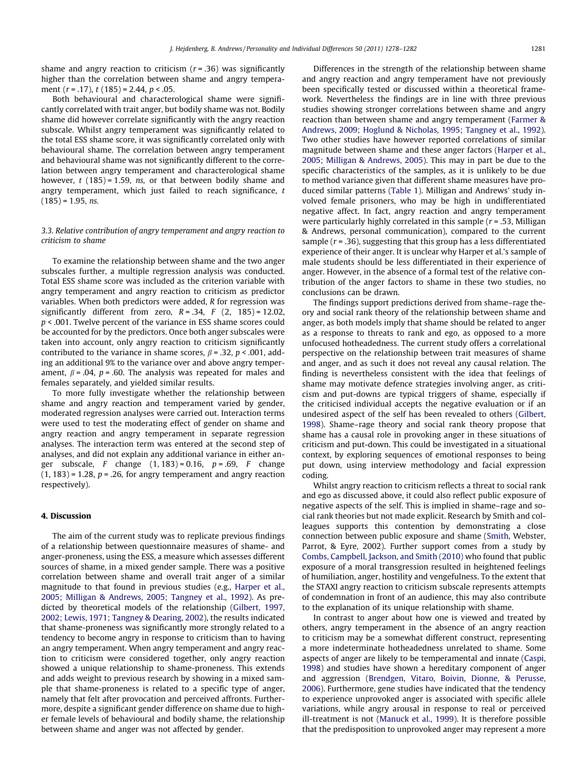shame and angry reaction to criticism  $(r = .36)$  was significantly higher than the correlation between shame and angry temperament  $(r = .17)$ ,  $t(185) = 2.44$ ,  $p < .05$ .

Both behavioural and characterological shame were significantly correlated with trait anger, but bodily shame was not. Bodily shame did however correlate significantly with the angry reaction subscale. Whilst angry temperament was significantly related to the total ESS shame score, it was significantly correlated only with behavioural shame. The correlation between angry temperament and behavioural shame was not significantly different to the correlation between angry temperament and characterological shame however,  $t$  (185) = 1.59, ns, or that between bodily shame and angry temperament, which just failed to reach significance, t  $(185) = 1.95$ , ns.

# 3.3. Relative contribution of angry temperament and angry reaction to criticism to shame

To examine the relationship between shame and the two anger subscales further, a multiple regression analysis was conducted. Total ESS shame score was included as the criterion variable with angry temperament and angry reaction to criticism as predictor variables. When both predictors were added, R for regression was significantly different from zero,  $R = .34$ ,  $F (2, 185) = 12.02$ , p < .001. Twelve percent of the variance in ESS shame scores could be accounted for by the predictors. Once both anger subscales were taken into account, only angry reaction to criticism significantly contributed to the variance in shame scores,  $\beta$  = .32, p < .001, adding an additional 9% to the variance over and above angry temperament,  $\beta$  = .04, p = .60. The analysis was repeated for males and females separately, and yielded similar results.

To more fully investigate whether the relationship between shame and angry reaction and temperament varied by gender, moderated regression analyses were carried out. Interaction terms were used to test the moderating effect of gender on shame and angry reaction and angry temperament in separate regression analyses. The interaction term was entered at the second step of analyses, and did not explain any additional variance in either anger subscale, F change  $(1, 183) = 0.16$ ,  $p = .69$ , F change  $(1, 183)$  = 1.28,  $p$  = .26, for angry temperament and angry reaction respectively).

#### 4. Discussion

The aim of the current study was to replicate previous findings of a relationship between questionnaire measures of shame- and anger-proneness, using the ESS, a measure which assesses different sources of shame, in a mixed gender sample. There was a positive correlation between shame and overall trait anger of a similar magnitude to that found in previous studies (e.g., [Harper et al.,](#page-4-0) [2005; Milligan & Andrews, 2005; Tangney et al., 1992](#page-4-0)). As predicted by theoretical models of the relationship [\(Gilbert, 1997,](#page-4-0) [2002; Lewis, 1971; Tangney & Dearing, 2002\)](#page-4-0), the results indicated that shame-proneness was significantly more strongly related to a tendency to become angry in response to criticism than to having an angry temperament. When angry temperament and angry reaction to criticism were considered together, only angry reaction showed a unique relationship to shame-proneness. This extends and adds weight to previous research by showing in a mixed sample that shame-proneness is related to a specific type of anger, namely that felt after provocation and perceived affronts. Furthermore, despite a significant gender difference on shame due to higher female levels of behavioural and bodily shame, the relationship between shame and anger was not affected by gender.

Differences in the strength of the relationship between shame and angry reaction and angry temperament have not previously been specifically tested or discussed within a theoretical framework. Nevertheless the findings are in line with three previous studies showing stronger correlations between shame and angry reaction than between shame and angry temperament [\(Farmer &](#page-4-0) [Andrews, 2009; Hoglund & Nicholas, 1995; Tangney et al., 1992\)](#page-4-0). Two other studies have however reported correlations of similar magnitude between shame and these anger factors ([Harper et al.,](#page-4-0) [2005; Milligan & Andrews, 2005](#page-4-0)). This may in part be due to the specific characteristics of the samples, as it is unlikely to be due to method variance given that different shame measures have produced similar patterns [\(Table 1](#page-1-0)). Milligan and Andrews' study involved female prisoners, who may be high in undifferentiated negative affect. In fact, angry reaction and angry temperament were particularly highly correlated in this sample  $(r = .53,$  Milligan & Andrews, personal communication), compared to the current sample ( $r = .36$ ), suggesting that this group has a less differentiated experience of their anger. It is unclear why Harper et al.'s sample of male students should be less differentiated in their experience of anger. However, in the absence of a formal test of the relative contribution of the anger factors to shame in these two studies, no conclusions can be drawn.

The findings support predictions derived from shame–rage theory and social rank theory of the relationship between shame and anger, as both models imply that shame should be related to anger as a response to threats to rank and ego, as opposed to a more unfocused hotheadedness. The current study offers a correlational perspective on the relationship between trait measures of shame and anger, and as such it does not reveal any causal relation. The finding is nevertheless consistent with the idea that feelings of shame may motivate defence strategies involving anger, as criticism and put-downs are typical triggers of shame, especially if the criticised individual accepts the negative evaluation or if an undesired aspect of the self has been revealed to others ([Gilbert,](#page-4-0) [1998\)](#page-4-0). Shame–rage theory and social rank theory propose that shame has a causal role in provoking anger in these situations of criticism and put-down. This could be investigated in a situational context, by exploring sequences of emotional responses to being put down, using interview methodology and facial expression coding.

Whilst angry reaction to criticism reflects a threat to social rank and ego as discussed above, it could also reflect public exposure of negative aspects of the self. This is implied in shame–rage and social rank theories but not made explicit. Research by Smith and colleagues supports this contention by demonstrating a close connection between public exposure and shame ([Smith,](#page-4-0) Webster, Parrot, & Eyre, 2002). Further support comes from a study by [Combs, Campbell, Jackson, and Smith \(2010\)](#page-4-0) who found that public exposure of a moral transgression resulted in heightened feelings of humiliation, anger, hostility and vengefulness. To the extent that the STAXI angry reaction to criticism subscale represents attempts of condemnation in front of an audience, this may also contribute to the explanation of its unique relationship with shame.

In contrast to anger about how one is viewed and treated by others, angry temperament in the absence of an angry reaction to criticism may be a somewhat different construct, representing a more indeterminate hotheadedness unrelated to shame. Some aspects of anger are likely to be temperamental and innate ([Caspi,](#page-4-0) [1998\)](#page-4-0) and studies have shown a hereditary component of anger and aggression [\(Brendgen, Vitaro, Boivin, Dionne, & Perusse,](#page-4-0) [2006](#page-4-0)). Furthermore, gene studies have indicated that the tendency to experience unprovoked anger is associated with specific allele variations, while angry arousal in response to real or perceived ill-treatment is not [\(Manuck et al., 1999\)](#page-4-0). It is therefore possible that the predisposition to unprovoked anger may represent a more